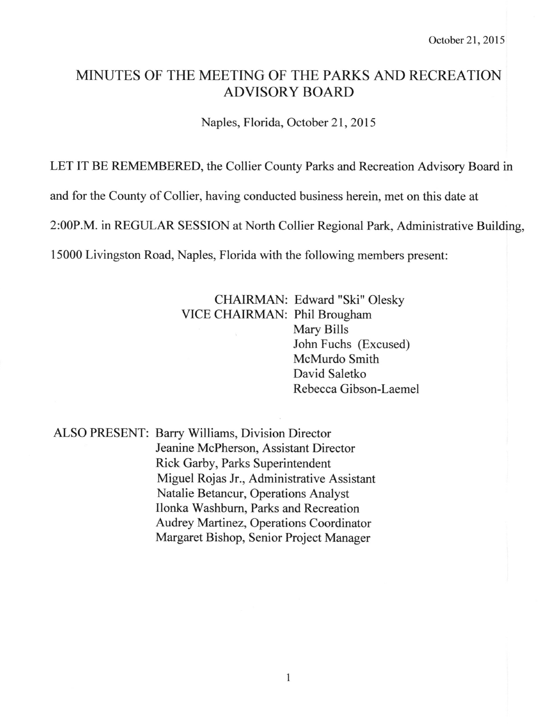# MINUTES OF THE MEETING OF THE PARKS AND RECREATION ADVISORY BOARD

Naples, Florida, October 21,2015

LET IT BE REMEMBERED, the Collier County Parks and Recreation Advisory Board in

and for the County of Collier, having conducted business herein, met on this date at

2:00P.M. in REGULAR SESSION at North Collier Regional Park, Administrative Building,

15000 Livingston Road, Naples, Florida with the following members present:

CHAIRMAN: Edward "Ski" Olesky VICE CHAIRMAN: Phil Brougham Mary Bills John Fuchs (Excused) McMurdo Smith David Saletko Rebecca Gibson-Laemel

ALSO PRESENT: Barry Williams, Division Director Jeanine McPherson, Assistant Director Rick Garby, Parks Superintendent Miguel Rojas Jr., Administrative Assistant Natalie Betancur, Operations Analyst Ilonka Washburn, Parks and Recreation Audrey Martinez, Operations Coordinator Margaret Bishop, Senior Project Manager